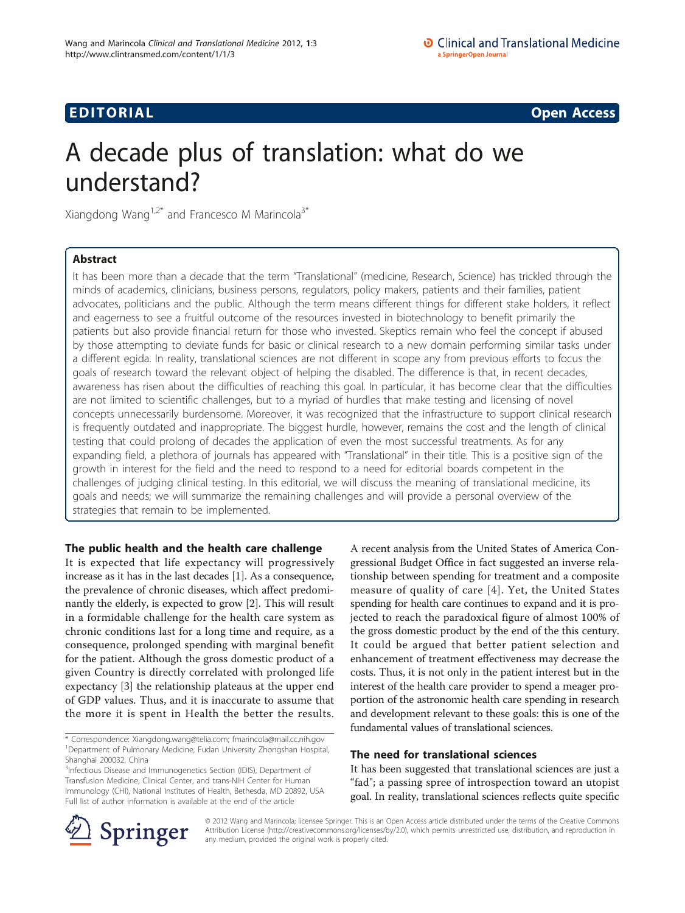# **EDITORIAL** CONTROL CONTROL CONTROL CONTROL CONTROL CONTROL CONTROL CONTROL CONTROL CONTROL CONTROL CONTROL CONTROL CONTROL CONTROL CONTROL CONTROL CONTROL CONTROL CONTROL CONTROL CONTROL CONTROL CONTROL CONTROL CONTROL CO

# A decade plus of translation: what do we understand?

Xiangdong Wang<sup>1,2\*</sup> and Francesco M Marincola<sup>3\*</sup>

# Abstract

It has been more than a decade that the term "Translational" (medicine, Research, Science) has trickled through the minds of academics, clinicians, business persons, regulators, policy makers, patients and their families, patient advocates, politicians and the public. Although the term means different things for different stake holders, it reflect and eagerness to see a fruitful outcome of the resources invested in biotechnology to benefit primarily the patients but also provide financial return for those who invested. Skeptics remain who feel the concept if abused by those attempting to deviate funds for basic or clinical research to a new domain performing similar tasks under a different egida. In reality, translational sciences are not different in scope any from previous efforts to focus the goals of research toward the relevant object of helping the disabled. The difference is that, in recent decades, awareness has risen about the difficulties of reaching this goal. In particular, it has become clear that the difficulties are not limited to scientific challenges, but to a myriad of hurdles that make testing and licensing of novel concepts unnecessarily burdensome. Moreover, it was recognized that the infrastructure to support clinical research is frequently outdated and inappropriate. The biggest hurdle, however, remains the cost and the length of clinical testing that could prolong of decades the application of even the most successful treatments. As for any expanding field, a plethora of journals has appeared with "Translational" in their title. This is a positive sign of the growth in interest for the field and the need to respond to a need for editorial boards competent in the challenges of judging clinical testing. In this editorial, we will discuss the meaning of translational medicine, its goals and needs; we will summarize the remaining challenges and will provide a personal overview of the strategies that remain to be implemented.

# The public health and the health care challenge

It is expected that life expectancy will progressively increase as it has in the last decades [[1\]](#page-2-0). As a consequence, the prevalence of chronic diseases, which affect predominantly the elderly, is expected to grow [[2\]](#page-2-0). This will result in a formidable challenge for the health care system as chronic conditions last for a long time and require, as a consequence, prolonged spending with marginal benefit for the patient. Although the gross domestic product of a given Country is directly correlated with prolonged life expectancy [[3\]](#page-2-0) the relationship plateaus at the upper end of GDP values. Thus, and it is inaccurate to assume that the more it is spent in Health the better the results.

<sup>3</sup>Infectious Disease and Immunogenetics Section (IDIS), Department of Transfusion Medicine, Clinical Center, and trans-NIH Center for Human Immunology (CHI), National Institutes of Health, Bethesda, MD 20892, USA Full list of author information is available at the end of the article

A recent analysis from the United States of America Congressional Budget Office in fact suggested an inverse relationship between spending for treatment and a composite measure of quality of care [[4](#page-2-0)]. Yet, the United States spending for health care continues to expand and it is projected to reach the paradoxical figure of almost 100% of the gross domestic product by the end of the this century. It could be argued that better patient selection and enhancement of treatment effectiveness may decrease the costs. Thus, it is not only in the patient interest but in the interest of the health care provider to spend a meager proportion of the astronomic health care spending in research and development relevant to these goals: this is one of the fundamental values of translational sciences.

# The need for translational sciences

It has been suggested that translational sciences are just a "fad"; a passing spree of introspection toward an utopist goal. In reality, translational sciences reflects quite specific



© 2012 Wang and Marincola; licensee Springer. This is an Open Access article distributed under the terms of the Creative Commons Attribution License [\(http://creativecommons.org/licenses/by/2.0](http://creativecommons.org/licenses/by/2.0)), which permits unrestricted use, distribution, and reproduction in any medium, provided the original work is properly cited.

<sup>\*</sup> Correspondence: [Xiangdong.wang@telia.com](mailto:Xiangdong.wang@telia.com); [fmarincola@mail.cc.nih.gov](mailto:fmarincola@mail.cc.nih.gov) <sup>1</sup>Department of Pulmonary Medicine, Fudan University Zhongshan Hospital, Shanghai 200032, China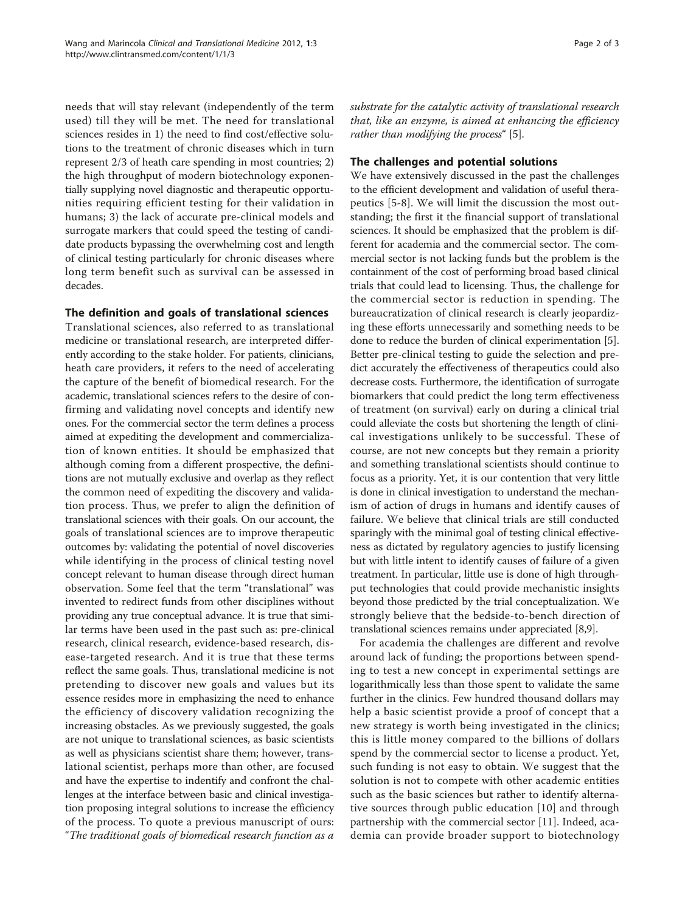needs that will stay relevant (independently of the term used) till they will be met. The need for translational sciences resides in 1) the need to find cost/effective solutions to the treatment of chronic diseases which in turn represent 2/3 of heath care spending in most countries; 2) the high throughput of modern biotechnology exponentially supplying novel diagnostic and therapeutic opportunities requiring efficient testing for their validation in humans; 3) the lack of accurate pre-clinical models and surrogate markers that could speed the testing of candidate products bypassing the overwhelming cost and length of clinical testing particularly for chronic diseases where long term benefit such as survival can be assessed in decades.

### The definition and goals of translational sciences

Translational sciences, also referred to as translational medicine or translational research, are interpreted differently according to the stake holder. For patients, clinicians, heath care providers, it refers to the need of accelerating the capture of the benefit of biomedical research. For the academic, translational sciences refers to the desire of confirming and validating novel concepts and identify new ones. For the commercial sector the term defines a process aimed at expediting the development and commercialization of known entities. It should be emphasized that although coming from a different prospective, the definitions are not mutually exclusive and overlap as they reflect the common need of expediting the discovery and validation process. Thus, we prefer to align the definition of translational sciences with their goals. On our account, the goals of translational sciences are to improve therapeutic outcomes by: validating the potential of novel discoveries while identifying in the process of clinical testing novel concept relevant to human disease through direct human observation. Some feel that the term "translational" was invented to redirect funds from other disciplines without providing any true conceptual advance. It is true that similar terms have been used in the past such as: pre-clinical research, clinical research, evidence-based research, disease-targeted research. And it is true that these terms reflect the same goals. Thus, translational medicine is not pretending to discover new goals and values but its essence resides more in emphasizing the need to enhance the efficiency of discovery validation recognizing the increasing obstacles. As we previously suggested, the goals are not unique to translational sciences, as basic scientists as well as physicians scientist share them; however, translational scientist, perhaps more than other, are focused and have the expertise to indentify and confront the challenges at the interface between basic and clinical investigation proposing integral solutions to increase the efficiency of the process. To quote a previous manuscript of ours: "The traditional goals of biomedical research function as a

substrate for the catalytic activity of translational research that, like an enzyme, is aimed at enhancing the efficiency rather than modifying the process" [\[5\]](#page-2-0).

#### The challenges and potential solutions

We have extensively discussed in the past the challenges to the efficient development and validation of useful therapeutics [\[5](#page-2-0)-[8\]](#page-2-0). We will limit the discussion the most outstanding; the first it the financial support of translational sciences. It should be emphasized that the problem is different for academia and the commercial sector. The commercial sector is not lacking funds but the problem is the containment of the cost of performing broad based clinical trials that could lead to licensing. Thus, the challenge for the commercial sector is reduction in spending. The bureaucratization of clinical research is clearly jeopardizing these efforts unnecessarily and something needs to be done to reduce the burden of clinical experimentation [\[5](#page-2-0)]. Better pre-clinical testing to guide the selection and predict accurately the effectiveness of therapeutics could also decrease costs. Furthermore, the identification of surrogate biomarkers that could predict the long term effectiveness of treatment (on survival) early on during a clinical trial could alleviate the costs but shortening the length of clinical investigations unlikely to be successful. These of course, are not new concepts but they remain a priority and something translational scientists should continue to focus as a priority. Yet, it is our contention that very little is done in clinical investigation to understand the mechanism of action of drugs in humans and identify causes of failure. We believe that clinical trials are still conducted sparingly with the minimal goal of testing clinical effectiveness as dictated by regulatory agencies to justify licensing but with little intent to identify causes of failure of a given treatment. In particular, little use is done of high throughput technologies that could provide mechanistic insights beyond those predicted by the trial conceptualization. We strongly believe that the bedside-to-bench direction of translational sciences remains under appreciated [\[8,9\]](#page-2-0).

For academia the challenges are different and revolve around lack of funding; the proportions between spending to test a new concept in experimental settings are logarithmically less than those spent to validate the same further in the clinics. Few hundred thousand dollars may help a basic scientist provide a proof of concept that a new strategy is worth being investigated in the clinics; this is little money compared to the billions of dollars spend by the commercial sector to license a product. Yet, such funding is not easy to obtain. We suggest that the solution is not to compete with other academic entities such as the basic sciences but rather to identify alternative sources through public education [\[10](#page-2-0)] and through partnership with the commercial sector [\[11](#page-2-0)]. Indeed, academia can provide broader support to biotechnology